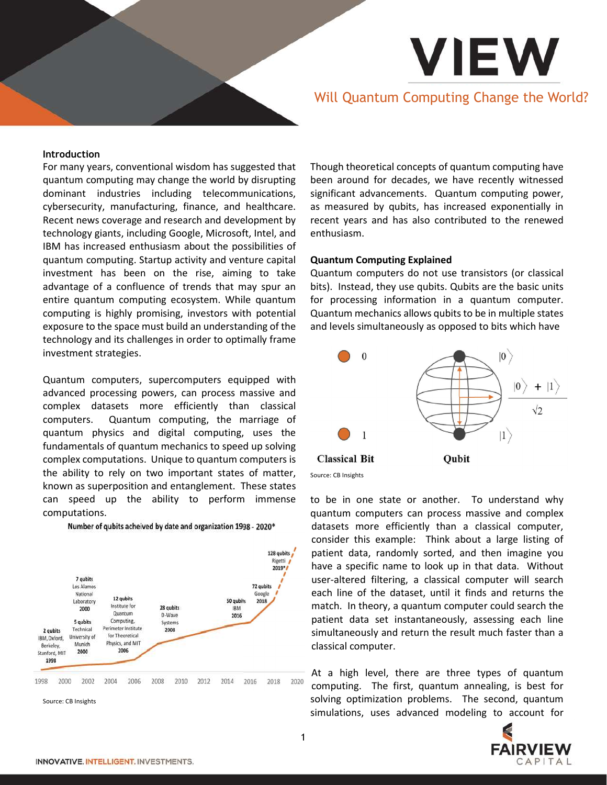# Will Quantum Computing Change the World?

**VIEW** 

#### Introduction

For many years, conventional wisdom has suggested that quantum computing may change the world by disrupting dominant industries including telecommunications, cybersecurity, manufacturing, finance, and healthcare. Recent news coverage and research and development by technology giants, including Google, Microsoft, Intel, and IBM has increased enthusiasm about the possibilities of quantum computing. Startup activity and venture capital investment has been on the rise, aiming to take advantage of a confluence of trends that may spur an entire quantum computing ecosystem. While quantum computing is highly promising, investors with potential exposure to the space must build an understanding of the technology and its challenges in order to optimally frame investment strategies.

Quantum computers, supercomputers equipped with advanced processing powers, can process massive and complex datasets more efficiently than classical computers. Quantum computing, the marriage of quantum physics and digital computing, uses the fundamentals of quantum mechanics to speed up solving complex computations. Unique to quantum computers is the ability to rely on two important states of matter, known as superposition and entanglement. These states can speed up the ability to perform immense computations.



Number of qubits acheived by date and organization 1998 - 2020\*

Source: CB Insights

Though theoretical concepts of quantum computing have been around for decades, we have recently witnessed significant advancements. Quantum computing power, as measured by qubits, has increased exponentially in recent years and has also contributed to the renewed enthusiasm.

#### Quantum Computing Explained

Quantum computers do not use transistors (or classical bits). Instead, they use qubits. Qubits are the basic units for processing information in a quantum computer. Quantum mechanics allows qubits to be in multiple states and levels simultaneously as opposed to bits which have



to be in one state or another. To understand why quantum computers can process massive and complex datasets more efficiently than a classical computer, consider this example: Think about a large listing of patient data, randomly sorted, and then imagine you have a specific name to look up in that data. Without user-altered filtering, a classical computer will search each line of the dataset, until it finds and returns the match. In theory, a quantum computer could search the patient data set instantaneously, assessing each line simultaneously and return the result much faster than a classical computer.

At a high level, there are three types of quantum computing. The first, quantum annealing, is best for solving optimization problems. The second, quantum simulations, uses advanced modeling to account for

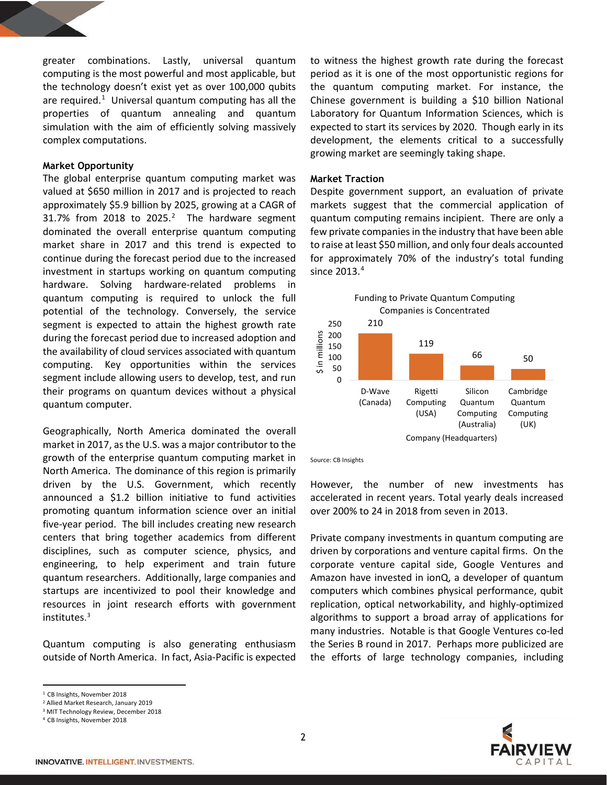greater combinations. Lastly, universal quantum computing is the most powerful and most applicable, but the technology doesn't exist yet as over 100,000 qubits are required.<sup>1</sup> Universal quantum computing has all the properties of quantum annealing and quantum simulation with the aim of efficiently solving massively complex computations.

## Market Opportunity

The global enterprise quantum computing market was valued at \$650 million in 2017 and is projected to reach approximately \$5.9 billion by 2025, growing at a CAGR of 31.7% from 2018 to 2025. $^2$  The hardware segment dominated the overall enterprise quantum computing market share in 2017 and this trend is expected to continue during the forecast period due to the increased investment in startups working on quantum computing hardware. Solving hardware-related problems in quantum computing is required to unlock the full potential of the technology. Conversely, the service segment is expected to attain the highest growth rate during the forecast period due to increased adoption and the availability of cloud services associated with quantum computing. Key opportunities within the services segment include allowing users to develop, test, and run their programs on quantum devices without a physical quantum computer.

Geographically, North America dominated the overall market in 2017, as the U.S. was a major contributor to the growth of the enterprise quantum computing market in North America. The dominance of this region is primarily driven by the U.S. Government, which recently announced a \$1.2 billion initiative to fund activities promoting quantum information science over an initial five-year period. The bill includes creating new research centers that bring together academics from different disciplines, such as computer science, physics, and engineering, to help experiment and train future quantum researchers. Additionally, large companies and startups are incentivized to pool their knowledge and resources in joint research efforts with government institutes. 3

Quantum computing is also generating enthusiasm outside of North America. In fact, Asia-Pacific is expected

ł

to witness the highest growth rate during the forecast period as it is one of the most opportunistic regions for the quantum computing market. For instance, the Chinese government is building a \$10 billion National Laboratory for Quantum Information Sciences, which is expected to start its services by 2020. Though early in its development, the elements critical to a successfully growing market are seemingly taking shape.

## Market Traction

Despite government support, an evaluation of private markets suggest that the commercial application of quantum computing remains incipient. There are only a few private companies in the industry that have been able to raise at least \$50 million, and only four deals accounted for approximately 70% of the industry's total funding since  $2013.<sup>4</sup>$ 



Source: CB Insights

However, the number of new investments has accelerated in recent years. Total yearly deals increased over 200% to 24 in 2018 from seven in 2013.

Private company investments in quantum computing are driven by corporations and venture capital firms. On the corporate venture capital side, Google Ventures and Amazon have invested in ionQ, a developer of quantum computers which combines physical performance, qubit replication, optical networkability, and highly-optimized algorithms to support a broad array of applications for many industries. Notable is that Google Ventures co-led the Series B round in 2017. Perhaps more publicized are the efforts of large technology companies, including



<sup>1</sup> CB Insights, November 2018

<sup>2</sup> Allied Market Research, January 2019

<sup>3</sup> MIT Technology Review, December 2018

<sup>4</sup> CB Insights, November 2018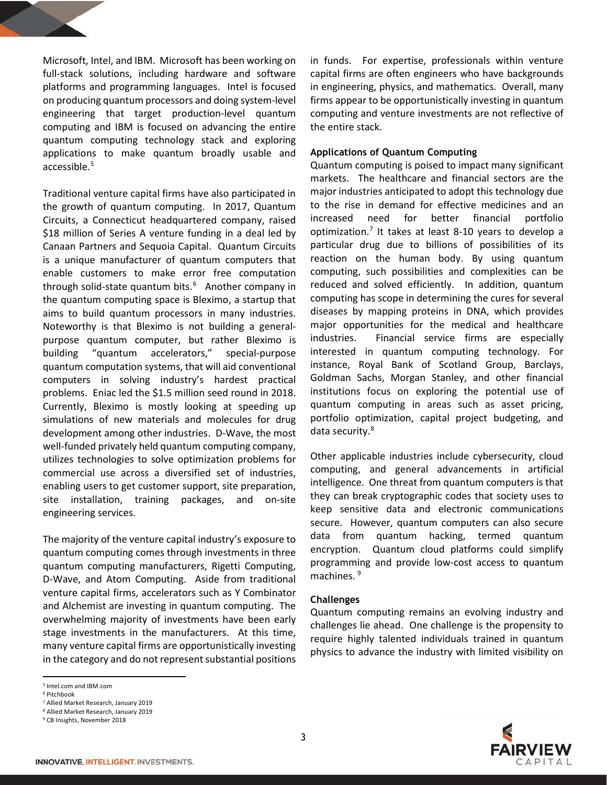Microsoft, Intel, and IBM. Microsoft has been working on full-stack solutions, including hardware and software platforms and programming languages. Intel is focused on producing quantum processors and doing system-level engineering that target production-level quantum computing and IBM is focused on advancing the entire quantum computing technology stack and exploring applications to make quantum broadly usable and accessible.<sup>5</sup>

Traditional venture capital firms have also participated in the growth of quantum computing. In 2017, Quantum Circuits, a Connecticut headquartered company, raised \$18 million of Series A venture funding in a deal led by Canaan Partners and Sequoia Capital. Quantum Circuits is a unique manufacturer of quantum computers that enable customers to make error free computation through solid-state quantum bits.<sup>6</sup> Another company in the quantum computing space is Bleximo, a startup that aims to build quantum processors in many industries. Noteworthy is that Bleximo is not building a generalpurpose quantum computer, but rather Bleximo is building "quantum accelerators," special-purpose quantum computation systems, that will aid conventional computers in solving industry's hardest practical problems. Eniac led the \$1.5 million seed round in 2018. Currently, Bleximo is mostly looking at speeding up simulations of new materials and molecules for drug development among other industries. D-Wave, the most well-funded privately held quantum computing company, utilizes technologies to solve optimization problems for commercial use across a diversified set of industries, enabling users to get customer support, site preparation, site installation, training packages, and on-site engineering services.

The majority of the venture capital industry's exposure to quantum computing comes through investments in three quantum computing manufacturers, Rigetti Computing, D-Wave, and Atom Computing. Aside from traditional venture capital firms, accelerators such as Y Combinator and Alchemist are investing in quantum computing. The overwhelming majority of investments have been early stage investments in the manufacturers. At this time, many venture capital firms are opportunistically investing in the category and do not represent substantial positions

-

in funds. For expertise, professionals within venture capital firms are often engineers who have backgrounds in engineering, physics, and mathematics. Overall, many firms appear to be opportunistically investing in quantum computing and venture investments are not reflective of the entire stack.

## Applications of Quantum Computing

Quantum computing is poised to impact many significant markets. The healthcare and financial sectors are the major industries anticipated to adopt this technology due to the rise in demand for effective medicines and an increased need for better financial portfolio optimization.<sup>7</sup> It takes at least 8-10 years to develop a particular drug due to billions of possibilities of its reaction on the human body. By using quantum computing, such possibilities and complexities can be reduced and solved efficiently. In addition, quantum computing has scope in determining the cures for several diseases by mapping proteins in DNA, which provides major opportunities for the medical and healthcare industries. Financial service firms are especially interested in quantum computing technology. For instance, Royal Bank of Scotland Group, Barclays, Goldman Sachs, Morgan Stanley, and other financial institutions focus on exploring the potential use of quantum computing in areas such as asset pricing, portfolio optimization, capital project budgeting, and data security.<sup>8</sup>

Other applicable industries include cybersecurity, cloud computing, and general advancements in artificial intelligence. One threat from quantum computers is that they can break cryptographic codes that society uses to keep sensitive data and electronic communications secure. However, quantum computers can also secure data from quantum hacking, termed quantum encryption. Quantum cloud platforms could simplify programming and provide low-cost access to quantum machines. <sup>9</sup>

#### Challenges

Quantum computing remains an evolving industry and challenges lie ahead. One challenge is the propensity to require highly talented individuals trained in quantum physics to advance the industry with limited visibility on

<sup>5</sup> Intel.com and IBM.com

<sup>6</sup> Pitchbook

<sup>7</sup> Allied Market Research, January 2019

<sup>8</sup> Allied Market Research, January 2019 <sup>9</sup> CB Insights, November 2018